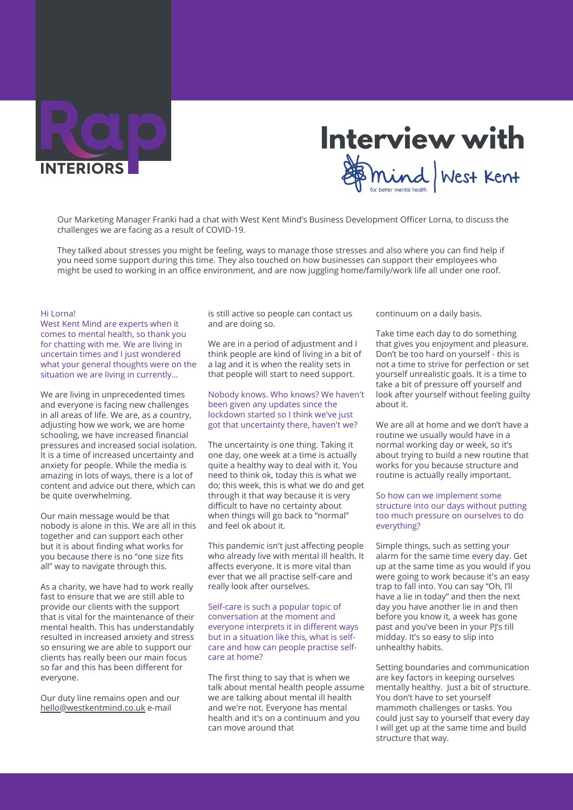

# **Interview with**<br>*Somind West Kent*

Our Marketing Manager Franki had a chat with West Kent Mind's Business Development Officer Lorna, to discuss the challenges we are facing as a result of COVID-19.

They talked about stresses you might be feeling, ways to manage those stresses and also where you can find help if you need some support during this time. They also touched on how businesses can support their employees who might be used to working in an office environment, and are now juggling home/family/work life all under one roof.

### Hi Lorna!

West Kent Mind are experts when it comes to mental health, so thank you for chatting with me. We are living in uncertain times and I just wondered what your general thoughts were on the situation we are living in currently…

We are living in unprecedented times and everyone is facing new challenges in all areas of life. We are, as a country, adjusting how we work, we are home schooling, we have increased financial pressures and increased social isolation. It is a time of increased uncertainty and anxiety for people. While the media is amazing in lots of ways, there is a lot of content and advice out there, which can be quite overwhelming.

Our main message would be that nobody is alone in this. We are all in this together and can support each other but it is about finding what works for you because there is no "one size fits all" way to navigate through this.

As a charity, we have had to work really fast to ensure that we are still able to provide our clients with the support that is vital for the maintenance of their mental health. This has understandably resulted in increased anxiety and stress so ensuring we are able to support our clients has really been our main focus so far and this has been different for everyone.

Our duty line remains open and our [hello@westkentmind.co.uk](mailto://hello@westkentmind.co.uk) e-mail

is still active so people can contact us and are doing so.

We are in a period of adjustment and I think people are kind of living in a bit of a lag and it is when the reality sets in that people will start to need support.

Nobody knows. Who knows? We haven't been given any updates since the lockdown started so I think we've just got that uncertainty there, haven't we?

The uncertainty is one thing. Taking it one day, one week at a time is actually quite a healthy way to deal with it. You need to think ok, today this is what we do; this week, this is what we do and get through it that way because it is very difficult to have no certainty about when things will go back to "normal" and feel ok about it.

This pandemic isn't just affecting people who already live with mental ill health. It affects everyone. It is more vital than ever that we all practise self-care and really look after ourselves.

Self-care is such a popular topic of conversation at the moment and everyone interprets it in different ways but in a situation like this, what is selfcare and how can people practise selfcare at home?

The first thing to say that is when we talk about mental health people assume we are talking about mental ill health and we're not. Everyone has mental health and it's on a continuum and you can move around that

continuum on a daily basis.

Take time each day to do something that gives you enjoyment and pleasure. Don't be too hard on yourself - this is not a time to strive for perfection or set yourself unrealistic goals. It is a time to take a bit of pressure off yourself and look after yourself without feeling guilty about it.

We are all at home and we don't have a routine we usually would have in a normal working day or week, so it's about trying to build a new routine that works for you because structure and routine is actually really important.

## So how can we implement some structure into our days without putting too much pressure on ourselves to do everything?

Simple things, such as setting your alarm for the same time every day. Get up at the same time as you would if you were going to work because it's an easy trap to fall into. You can say "Oh, I'll have a lie in today" and then the next day you have another lie in and then before you know it, a week has gone past and you've been in your PJ's till midday. It's so easy to slip into unhealthy habits.

Setting boundaries and communication are key factors in keeping ourselves mentally healthy. Just a bit of structure. You don't have to set yourself mammoth challenges or tasks. You could just say to yourself that every day I will get up at the same time and build structure that way.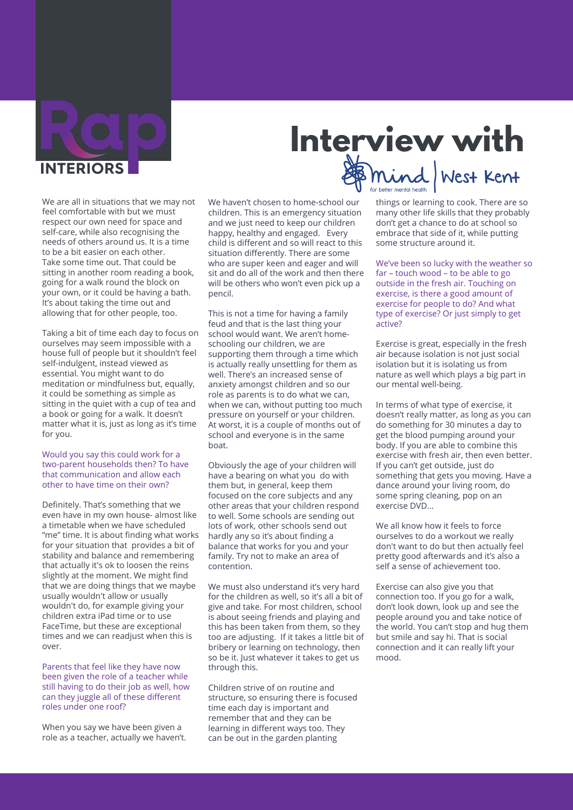

We are all in situations that we may not feel comfortable with but we must respect our own need for space and self-care, while also recognising the needs of others around us. It is a time to be a bit easier on each other. Take some time out. That could be sitting in another room reading a book, going for a walk round the block on your own, or it could be having a bath. It's about taking the time out and allowing that for other people, too.

Taking a bit of time each day to focus on ourselves may seem impossible with a house full of people but it shouldn't feel self-indulgent, instead viewed as essential. You might want to do meditation or mindfulness but, equally, it could be something as simple as sitting in the quiet with a cup of tea and a book or going for a walk. It doesn't matter what it is, just as long as it's time for you.

## Would you say this could work for a two-parent households then? To have that communication and allow each other to have time on their own?

Definitely. That's something that we even have in my own house- almost like a timetable when we have scheduled "me" time. It is about finding what works for your situation that provides a bit of stability and balance and remembering that actually it's ok to loosen the reins slightly at the moment. We might find that we are doing things that we maybe usually wouldn't allow or usually wouldn't do, for example giving your children extra iPad time or to use FaceTime, but these are exceptional times and we can readjust when this is over.

## Parents that feel like they have now been given the role of a teacher while still having to do their job as well, how can they juggle all of these different roles under one roof?

When you say we have been given a role as a teacher, actually we haven't. We haven't chosen to home-school our children. This is an emergency situation and we just need to keep our children happy, healthy and engaged. Every child is different and so will react to this situation differently. There are some who are super keen and eager and will sit and do all of the work and then there will be others who won't even pick up a pencil.

This is not a time for having a family feud and that is the last thing your school would want. We aren't homeschooling our children, we are supporting them through a time which is actually really unsettling for them as well. There's an increased sense of anxiety amongst children and so our role as parents is to do what we can, when we can, without putting too much pressure on yourself or your children. At worst, it is a couple of months out of school and everyone is in the same boat.

Obviously the age of your children will have a bearing on what you do with them but, in general, keep them focused on the core subjects and any other areas that your children respond to well. Some schools are sending out lots of work, other schools send out hardly any so it's about finding a balance that works for you and your family. Try not to make an area of contention.

We must also understand it's very hard for the children as well, so it's all a bit of give and take. For most children, school is about seeing friends and playing and this has been taken from them, so they too are adjusting. If it takes a little bit of bribery or learning on technology, then so be it. Just whatever it takes to get us through this.

Children strive of on routine and structure, so ensuring there is focused time each day is important and remember that and they can be learning in different ways too. They can be out in the garden planting

**Interview with**

things or learning to cook. There are so many other life skills that they probably don't get a chance to do at school so embrace that side of it, while putting some structure around it.

We've been so lucky with the weather so far – touch wood – to be able to go outside in the fresh air. Touching on exercise, is there a good amount of exercise for people to do? And what type of exercise? Or just simply to get active?

Exercise is great, especially in the fresh air because isolation is not just social isolation but it is isolating us from nature as well which plays a big part in our mental well-being.

In terms of what type of exercise, it doesn't really matter, as long as you can do something for 30 minutes a day to get the blood pumping around your body. If you are able to combine this exercise with fresh air, then even better. If you can't get outside, just do something that gets you moving. Have a dance around your living room, do some spring cleaning, pop on an exercise DVD…

We all know how it feels to force ourselves to do a workout we really don't want to do but then actually feel pretty good afterwards and it's also a self a sense of achievement too.

Exercise can also give you that connection too. If you go for a walk, don't look down, look up and see the people around you and take notice of the world. You can't stop and hug them but smile and say hi. That is social connection and it can really lift your mood.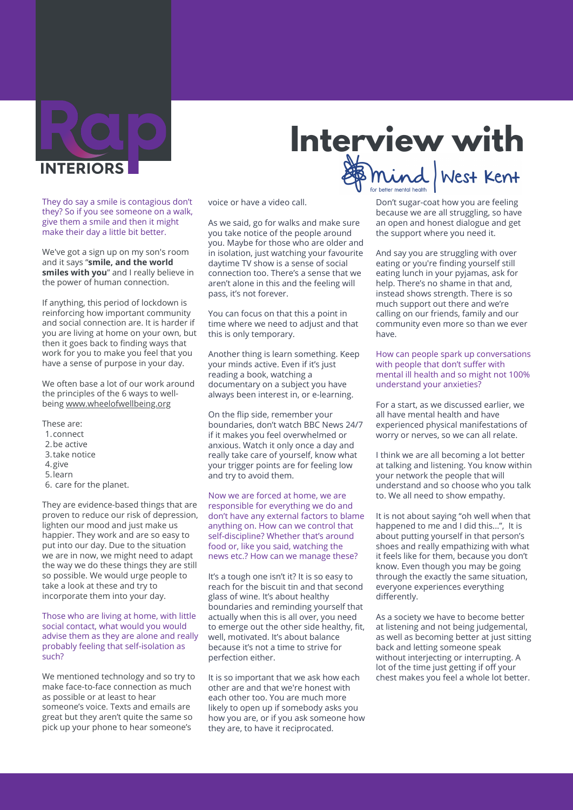

They do say a smile is contagious don't they? So if you see someone on a walk, give them a smile and then it might make their day a little bit better.

We've got a sign up on my son's room and it says "**smile, and the world smiles with you**" and I really believe in the power of human connection.

If anything, this period of lockdown is reinforcing how important community and social connection are. It is harder if you are living at home on your own, but then it goes back to finding ways that work for you to make you feel that you have a sense of purpose in your day.

We often base a lot of our work around the principles of the 6 ways to wellbeing [www.wheelofwellbeing.org](https://www.wheelofwellbeing.org/)

- These are:
- 1.connect
- 2.be active
- 3.take notice
- 4. give
- 5. learn
- 6. care for the planet.

They are evidence-based things that are proven to reduce our risk of depression, lighten our mood and just make us happier. They work and are so easy to put into our day. Due to the situation we are in now, we might need to adapt the way we do these things they are still so possible. We would urge people to take a look at these and try to incorporate them into your day.

Those who are living at home, with little social contact, what would you would advise them as they are alone and really probably feeling that self-isolation as such?

We mentioned technology and so try to make face-to-face connection as much as possible or at least to hear someone's voice. Texts and emails are great but they aren't quite the same so pick up your phone to hear someone's

voice or have a video call.

As we said, go for walks and make sure you take notice of the people around you. Maybe for those who are older and in isolation, just watching your favourite daytime TV show is a sense of social connection too. There's a sense that we aren't alone in this and the feeling will pass, it's not forever.

You can focus on that this a point in time where we need to adjust and that this is only temporary.

Another thing is learn something. Keep your minds active. Even if it's just reading a book, watching a documentary on a subject you have always been interest in, or e-learning.

On the flip side, remember your boundaries, don't watch BBC News 24/7 if it makes you feel overwhelmed or anxious. Watch it only once a day and really take care of yourself, know what your trigger points are for feeling low and try to avoid them.

Now we are forced at home, we are responsible for everything we do and don't have any external factors to blame anything on. How can we control that self-discipline? Whether that's around food or, like you said, watching the news etc.? How can we manage these?

It's a tough one isn't it? It is so easy to reach for the biscuit tin and that second glass of wine. It's about healthy boundaries and reminding yourself that actually when this is all over, you need to emerge out the other side healthy, fit, well, motivated. It's about balance because it's not a time to strive for perfection either.

It is so important that we ask how each other are and that we're honest with each other too. You are much more likely to open up if somebody asks you how you are, or if you ask someone how they are, to have it reciprocated.

Don't sugar-coat how you are feeling because we are all struggling, so have an open and honest dialogue and get the support where you need it.

**Interview with**

And say you are struggling with over eating or you're finding yourself still eating lunch in your pyjamas, ask for help. There's no shame in that and, instead shows strength. There is so much support out there and we're calling on our friends, family and our community even more so than we ever have.

How can people spark up conversations with people that don't suffer with mental ill health and so might not 100% understand your anxieties?

For a start, as we discussed earlier, we all have mental health and have experienced physical manifestations of worry or nerves, so we can all relate.

I think we are all becoming a lot better at talking and listening. You know within your network the people that will understand and so choose who you talk to. We all need to show empathy.

It is not about saying "oh well when that happened to me and I did this...", It is about putting yourself in that person's shoes and really empathizing with what it feels like for them, because you don't know. Even though you may be going through the exactly the same situation, everyone experiences everything differently.

As a society we have to become better at listening and not being judgemental, as well as becoming better at just sitting back and letting someone speak without interjecting or interrupting. A lot of the time just getting if off your chest makes you feel a whole lot better.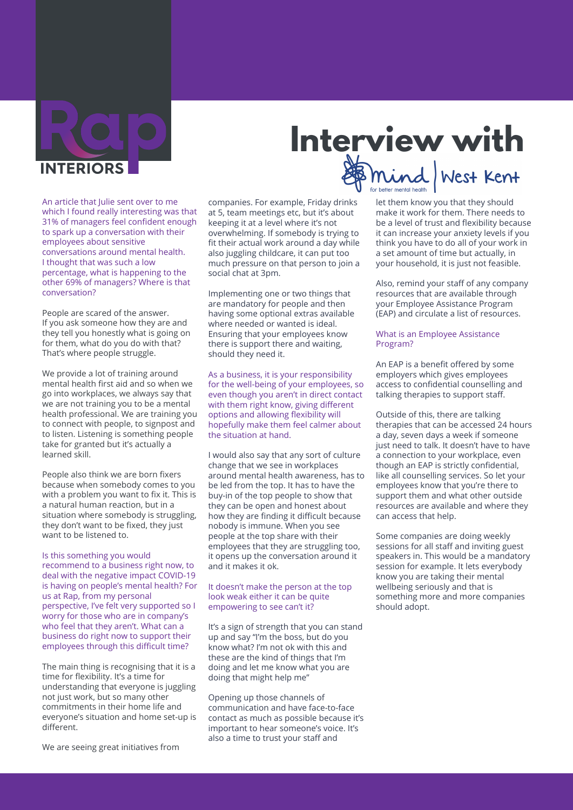

An article that Julie sent over to me which I found really interesting was that 31% of managers feel confident enough to spark up a conversation with their employees about sensitive conversations around mental health. I thought that was such a low percentage, what is happening to the other 69% of managers? Where is that conversation?

People are scared of the answer. If you ask someone how they are and they tell you honestly what is going on for them, what do you do with that? That's where people struggle.

We provide a lot of training around mental health first aid and so when we go into workplaces, we always say that we are not training you to be a mental health professional. We are training you to connect with people, to signpost and to listen. Listening is something people take for granted but it's actually a learned skill.

People also think we are born fixers because when somebody comes to you with a problem you want to fix it. This is a natural human reaction, but in a situation where somebody is struggling, they don't want to be fixed, they just want to be listened to.

Is this something you would recommend to a business right now, to deal with the negative impact COVID-19 is having on people's mental health? For us at Rap, from my personal perspective, I've felt very supported so I worry for those who are in company's who feel that they aren't. What can a business do right now to support their employees through this difficult time?

The main thing is recognising that it is a time for flexibility. It's a time for understanding that everyone is juggling not just work, but so many other commitments in their home life and everyone's situation and home set-up is different.

We are seeing great initiatives from

companies. For example, Friday drinks at 5, team meetings etc, but it's about keeping it at a level where it's not overwhelming. If somebody is trying to fit their actual work around a day while also juggling childcare, it can put too much pressure on that person to join a social chat at 3pm.

Implementing one or two things that are mandatory for people and then having some optional extras available where needed or wanted is ideal. Ensuring that your employees know there is support there and waiting, should they need it.

As a business, it is your responsibility for the well-being of your employees, so even though you aren't in direct contact with them right know, giving different options and allowing flexibility will hopefully make them feel calmer about the situation at hand.

I would also say that any sort of culture change that we see in workplaces around mental health awareness, has to be led from the top. It has to have the buy-in of the top people to show that they can be open and honest about how they are finding it difficult because nobody is immune. When you see people at the top share with their employees that they are struggling too, it opens up the conversation around it and it makes it ok.

## It doesn't make the person at the top look weak either it can be quite empowering to see can't it?

It's a sign of strength that you can stand up and say "I'm the boss, but do you know what? I'm not ok with this and these are the kind of things that I'm doing and let me know what you are doing that might help me"

Opening up those channels of communication and have face-to-face contact as much as possible because it's important to hear someone's voice. It's also a time to trust your staff and

# **Interview with**

let them know you that they should make it work for them. There needs to be a level of trust and flexibility because it can increase your anxiety levels if you think you have to do all of your work in a set amount of time but actually, in your household, it is just not feasible.

Also, remind your staff of any company resources that are available through your Employee Assistance Program (EAP) and circulate a list of resources.

## What is an Employee Assistance Program?

An EAP is a benefit offered by some employers which gives employees access to confidential counselling and talking therapies to support staff.

Outside of this, there are talking therapies that can be accessed 24 hours a day, seven days a week if someone just need to talk. It doesn't have to have a connection to your workplace, even though an EAP is strictly confidential, like all counselling services. So let your employees know that you're there to support them and what other outside resources are available and where they can access that help.

Some companies are doing weekly sessions for all staff and inviting guest speakers in. This would be a mandatory session for example. It lets everybody know you are taking their mental wellbeing seriously and that is something more and more companies should adopt.